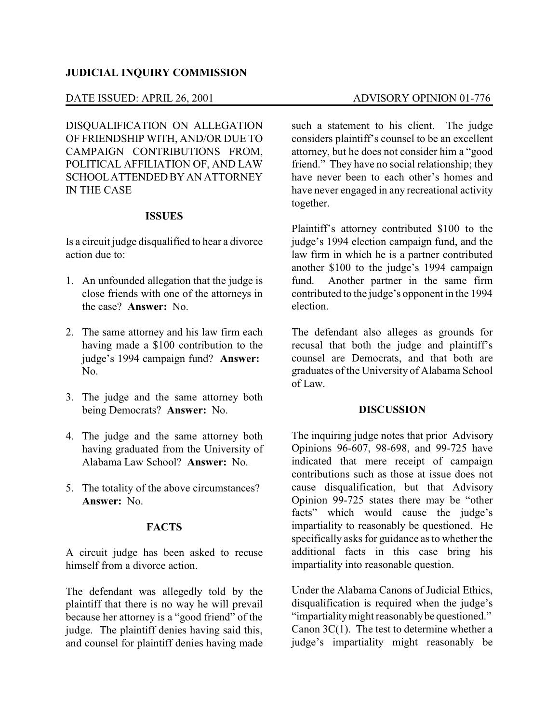# **JUDICIAL INQUIRY COMMISSION**

# DATE ISSUED: APRIL 26, 2001 ADVISORY OPINION 01-776

DISQUALIFICATION ON ALLEGATION OF FRIENDSHIP WITH, AND/OR DUE TO CAMPAIGN CONTRIBUTIONS FROM, POLITICAL AFFILIATION OF, AND LAW SCHOOL ATTENDED BY AN ATTORNEY IN THE CASE

# **ISSUES**

Is a circuit judge disqualified to hear a divorce action due to:

- 1. An unfounded allegation that the judge is close friends with one of the attorneys in the case? **Answer:** No.
- 2. The same attorney and his law firm each having made a \$100 contribution to the judge's 1994 campaign fund? **Answer:** N<sub>0</sub>
- 3. The judge and the same attorney both being Democrats? **Answer:** No.
- 4. The judge and the same attorney both having graduated from the University of Alabama Law School? **Answer:** No.
- 5. The totality of the above circumstances? **Answer:** No.

### **FACTS**

A circuit judge has been asked to recuse himself from a divorce action.

The defendant was allegedly told by the plaintiff that there is no way he will prevail because her attorney is a "good friend" of the judge. The plaintiff denies having said this, and counsel for plaintiff denies having made such a statement to his client. The judge considers plaintiff's counsel to be an excellent attorney, but he does not consider him a "good friend." They have no social relationship; they have never been to each other's homes and have never engaged in any recreational activity together.

Plaintiff's attorney contributed \$100 to the judge's 1994 election campaign fund, and the law firm in which he is a partner contributed another \$100 to the judge's 1994 campaign fund. Another partner in the same firm contributed to the judge's opponent in the 1994 election.

The defendant also alleges as grounds for recusal that both the judge and plaintiff's counsel are Democrats, and that both are graduates of the University of Alabama School of Law.

#### **DISCUSSION**

The inquiring judge notes that prior Advisory Opinions 96-607, 98-698, and 99-725 have indicated that mere receipt of campaign contributions such as those at issue does not cause disqualification, but that Advisory Opinion 99-725 states there may be "other facts" which would cause the judge's impartiality to reasonably be questioned. He specifically asks for guidance as to whether the additional facts in this case bring his impartiality into reasonable question.

Under the Alabama Canons of Judicial Ethics, disqualification is required when the judge's "impartiality might reasonably be questioned." Canon  $3C(1)$ . The test to determine whether a judge's impartiality might reasonably be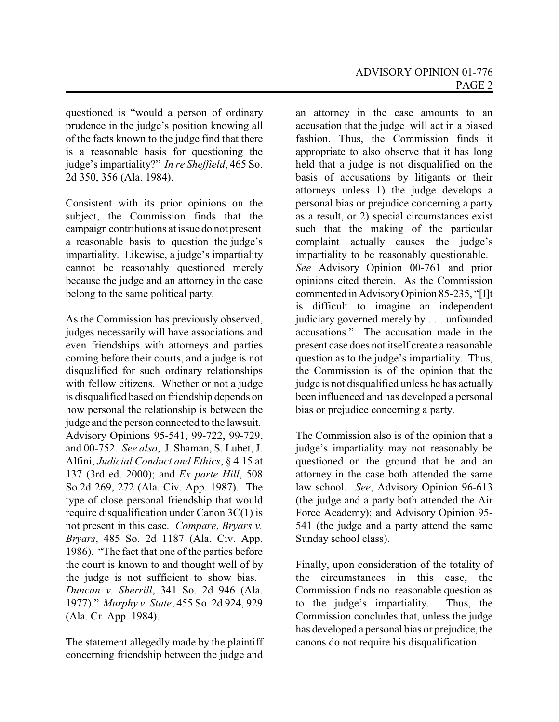questioned is "would a person of ordinary prudence in the judge's position knowing all of the facts known to the judge find that there is a reasonable basis for questioning the judge's impartiality?" *In re Sheffield*, 465 So. 2d 350, 356 (Ala. 1984).

Consistent with its prior opinions on the subject, the Commission finds that the campaign contributions at issue do not present a reasonable basis to question the judge's impartiality. Likewise, a judge's impartiality cannot be reasonably questioned merely because the judge and an attorney in the case belong to the same political party.

As the Commission has previously observed, judges necessarily will have associations and even friendships with attorneys and parties coming before their courts, and a judge is not disqualified for such ordinary relationships with fellow citizens. Whether or not a judge is disqualified based on friendship depends on how personal the relationship is between the judge and the person connected to the lawsuit. Advisory Opinions 95-541, 99-722, 99-729, and 00-752. *See also*, J. Shaman, S. Lubet, J. Alfini, *Judicial Conduct and Ethics*, § 4.15 at 137 (3rd ed. 2000); and *Ex parte Hill*, 508 So.2d 269, 272 (Ala. Civ. App. 1987). The type of close personal friendship that would require disqualification under Canon 3C(1) is not present in this case. *Compare*, *Bryars v. Bryars*, 485 So. 2d 1187 (Ala. Civ. App. 1986). "The fact that one of the parties before the court is known to and thought well of by the judge is not sufficient to show bias. *Duncan v. Sherrill*, 341 So. 2d 946 (Ala. 1977)." *Murphy v. State*, 455 So. 2d 924, 929 (Ala. Cr. App. 1984).

The statement allegedly made by the plaintiff concerning friendship between the judge and

an attorney in the case amounts to an accusation that the judge will act in a biased fashion. Thus, the Commission finds it appropriate to also observe that it has long held that a judge is not disqualified on the basis of accusations by litigants or their attorneys unless 1) the judge develops a personal bias or prejudice concerning a party as a result, or 2) special circumstances exist such that the making of the particular complaint actually causes the judge's impartiality to be reasonably questionable. *See* Advisory Opinion 00-761 and prior opinions cited therein. As the Commission commented in AdvisoryOpinion 85-235, "[I]t is difficult to imagine an independent judiciary governed merely by . . . unfounded accusations." The accusation made in the present case does not itself create a reasonable question as to the judge's impartiality. Thus, the Commission is of the opinion that the judge is not disqualified unless he has actually been influenced and has developed a personal bias or prejudice concerning a party.

The Commission also is of the opinion that a judge's impartiality may not reasonably be questioned on the ground that he and an attorney in the case both attended the same law school. *See*, Advisory Opinion 96-613 (the judge and a party both attended the Air Force Academy); and Advisory Opinion 95- 541 (the judge and a party attend the same Sunday school class).

Finally, upon consideration of the totality of the circumstances in this case, the Commission finds no reasonable question as to the judge's impartiality. Thus, the Commission concludes that, unless the judge has developed a personal bias or prejudice, the canons do not require his disqualification.